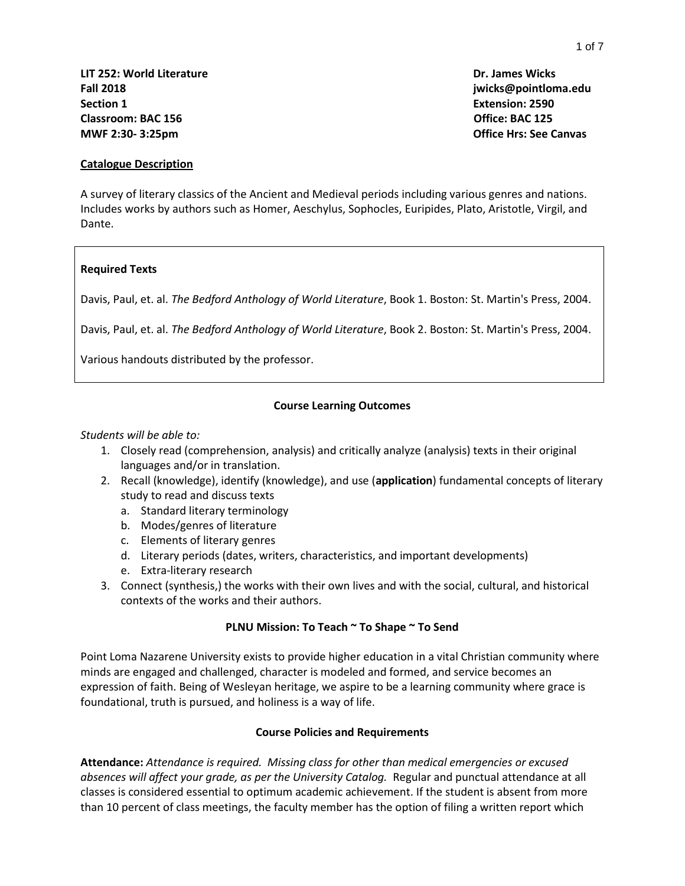**Catalogue Description**

A survey of literary classics of the Ancient and Medieval periods including various genres and nations. Includes works by authors such as Homer, Aeschylus, Sophocles, Euripides, Plato, Aristotle, Virgil, and Dante.

## **Required Texts**

Davis, Paul, et. al. *The Bedford Anthology of World Literature*, Book 1. Boston: St. Martin's Press, 2004.

Davis, Paul, et. al. *The Bedford Anthology of World Literature*, Book 2. Boston: St. Martin's Press, 2004.

Various handouts distributed by the professor.

#### **Course Learning Outcomes**

#### *Students will be able to:*

- 1. Closely read (comprehension, analysis) and critically analyze (analysis) texts in their original languages and/or in translation.
- 2. Recall (knowledge), identify (knowledge), and use (**application**) fundamental concepts of literary study to read and discuss texts
	- a. Standard literary terminology
	- b. Modes/genres of literature
	- c. Elements of literary genres
	- d. Literary periods (dates, writers, characteristics, and important developments)
	- e. Extra-literary research
- 3. Connect (synthesis,) the works with their own lives and with the social, cultural, and historical contexts of the works and their authors.

#### **PLNU Mission: To Teach ~ To Shape ~ To Send**

Point Loma Nazarene University exists to provide higher education in a vital Christian community where minds are engaged and challenged, character is modeled and formed, and service becomes an expression of faith. Being of Wesleyan heritage, we aspire to be a learning community where grace is foundational, truth is pursued, and holiness is a way of life.

#### **Course Policies and Requirements**

**Attendance:** *Attendance is required. Missing class for other than medical emergencies or excused absences will affect your grade, as per the University Catalog.* Regular and punctual attendance at all classes is considered essential to optimum academic achievement. If the student is absent from more than 10 percent of class meetings, the faculty member has the option of filing a written report which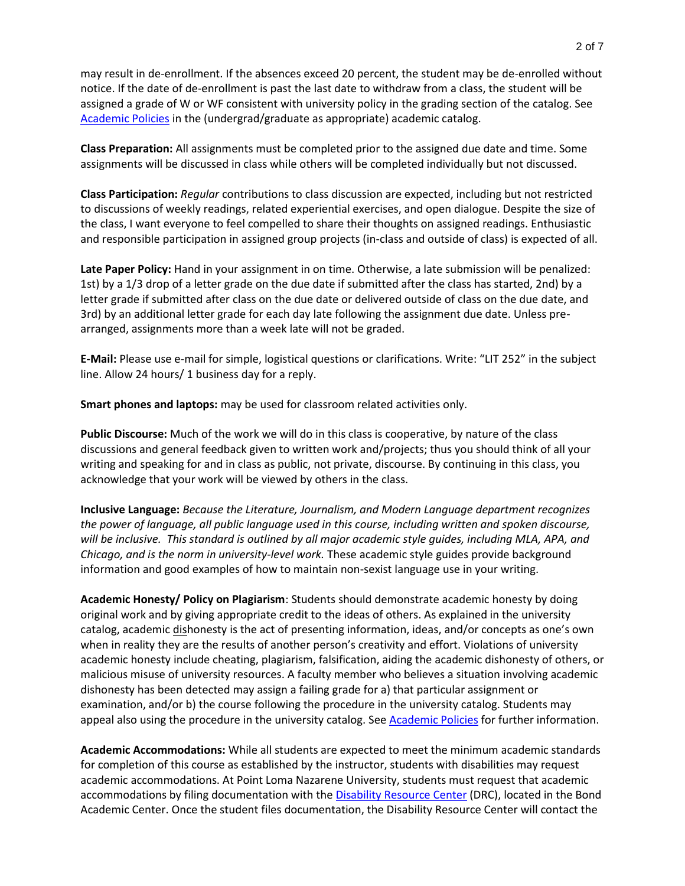may result in de-enrollment. If the absences exceed 20 percent, the student may be de-enrolled without notice. If the date of de-enrollment is past the last date to withdraw from a class, the student will be assigned a grade of W or WF consistent with university policy in the grading section of the catalog. See [Academic Policies](http://catalog.pointloma.edu/content.php?catoid=24&navoid=1581) in the (undergrad/graduate as appropriate) academic catalog.

**Class Preparation:** All assignments must be completed prior to the assigned due date and time. Some assignments will be discussed in class while others will be completed individually but not discussed.

**Class Participation:** *Regular* contributions to class discussion are expected, including but not restricted to discussions of weekly readings, related experiential exercises, and open dialogue. Despite the size of the class, I want everyone to feel compelled to share their thoughts on assigned readings. Enthusiastic and responsible participation in assigned group projects (in-class and outside of class) is expected of all.

**Late Paper Policy:** Hand in your assignment in on time. Otherwise, a late submission will be penalized: 1st) by a 1/3 drop of a letter grade on the due date if submitted after the class has started, 2nd) by a letter grade if submitted after class on the due date or delivered outside of class on the due date, and 3rd) by an additional letter grade for each day late following the assignment due date. Unless prearranged, assignments more than a week late will not be graded.

**E-Mail:** Please use e-mail for simple, logistical questions or clarifications. Write: "LIT 252" in the subject line. Allow 24 hours/ 1 business day for a reply.

**Smart phones and laptops:** may be used for classroom related activities only.

**Public Discourse:** Much of the work we will do in this class is cooperative, by nature of the class discussions and general feedback given to written work and/projects; thus you should think of all your writing and speaking for and in class as public, not private, discourse. By continuing in this class, you acknowledge that your work will be viewed by others in the class.

**Inclusive Language:** *Because the Literature, Journalism, and Modern Language department recognizes the power of language, all public language used in this course, including written and spoken discourse, will be inclusive. This standard is outlined by all major academic style guides, including MLA, APA, and Chicago, and is the norm in university-level work.* These academic style guides provide background information and good examples of how to maintain non-sexist language use in your writing.

**Academic Honesty/ Policy on Plagiarism**: Students should demonstrate academic honesty by doing original work and by giving appropriate credit to the ideas of others. As explained in the university catalog, academic dishonesty is the act of presenting information, ideas, and/or concepts as one's own when in reality they are the results of another person's creativity and effort. Violations of university academic honesty include cheating, plagiarism, falsification, aiding the academic dishonesty of others, or malicious misuse of university resources. A faculty member who believes a situation involving academic dishonesty has been detected may assign a failing grade for a) that particular assignment or examination, and/or b) the course following the procedure in the university catalog. Students may appeal also using the procedure in the university catalog. See [Academic Policies](http://catalog.pointloma.edu/content.php?catoid=24&navoid=1581) for further information.

**Academic Accommodations:** While all students are expected to meet the minimum academic standards for completion of this course as established by the instructor, students with disabilities may request academic accommodations. At Point Loma Nazarene University, students must request that academic accommodations by filing documentation with the [Disability Resource Center](http://www.pointloma.edu/experience/offices/administrative-offices/academic-advising-office/disability-resource-center) (DRC), located in the Bond Academic Center. Once the student files documentation, the Disability Resource Center will contact the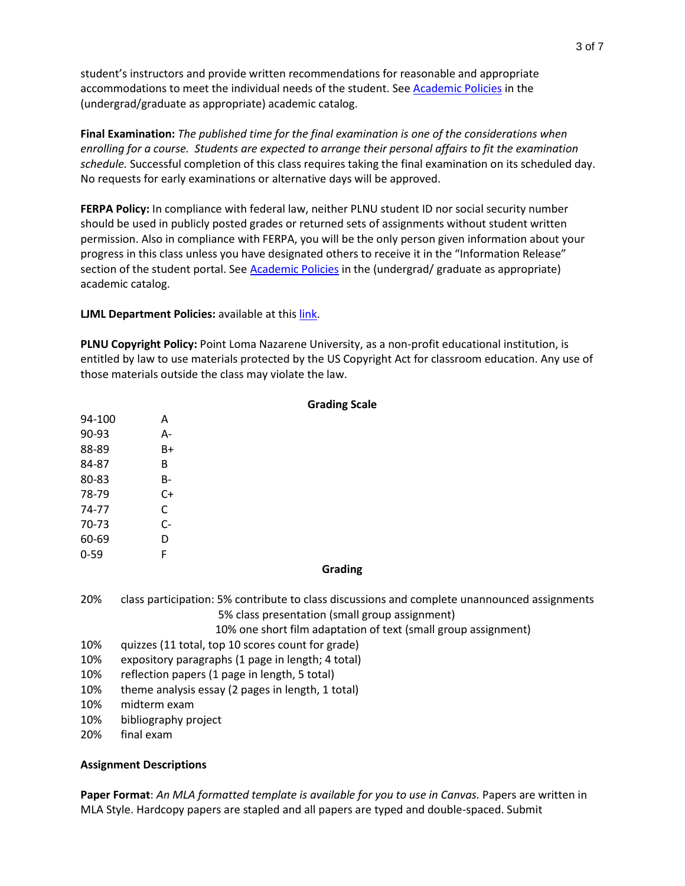student's instructors and provide written recommendations for reasonable and appropriate accommodations to meet the individual needs of the student. See [Academic Policies](http://catalog.pointloma.edu/content.php?catoid=24&navoid=1581) in the (undergrad/graduate as appropriate) academic catalog.

**Final Examination:** *The published time for the final examination is one of the considerations when enrolling for a course. Students are expected to arrange their personal affairs to fit the examination schedule.* Successful completion of this class requires taking the final examination on its scheduled day. No requests for early examinations or alternative days will be approved.

**FERPA Policy:** In compliance with federal law, neither PLNU student ID nor social security number should be used in publicly posted grades or returned sets of assignments without student written permission. Also in compliance with FERPA, you will be the only person given information about your progress in this class unless you have designated others to receive it in the "Information Release" section of the student portal. See [Academic Policies](http://catalog.pointloma.edu/content.php?catoid=24&navoid=1581) in the (undergrad/ graduate as appropriate) academic catalog.

**LJML Department Policies: available at thi[s link.](http://www.pointloma.edu/sites/default/files/filemanager/Literature_Journalism__Modern_Languages/LJML_Department_Syllabus_Statments_final_2016-17.pdf)** 

**PLNU Copyright Policy:** Point Loma Nazarene University, as a non-profit educational institution, is entitled by law to use materials protected by the US Copyright Act for classroom education. Any use of those materials outside the class may violate the law.

**Grading Scale**

|          | <b>Grading Scale</b>                                                                                                                                                                                             |  |  |
|----------|------------------------------------------------------------------------------------------------------------------------------------------------------------------------------------------------------------------|--|--|
| 94-100   | A                                                                                                                                                                                                                |  |  |
| 90-93    | $A -$                                                                                                                                                                                                            |  |  |
| 88-89    | $B+$                                                                                                                                                                                                             |  |  |
| 84-87    | B                                                                                                                                                                                                                |  |  |
| 80-83    | <b>B-</b>                                                                                                                                                                                                        |  |  |
| 78-79    | $C+$                                                                                                                                                                                                             |  |  |
| 74-77    | C                                                                                                                                                                                                                |  |  |
| 70-73    | $C-$                                                                                                                                                                                                             |  |  |
| 60-69    | D                                                                                                                                                                                                                |  |  |
| $0 - 59$ | F                                                                                                                                                                                                                |  |  |
|          | Grading                                                                                                                                                                                                          |  |  |
| 20%      | class participation: 5% contribute to class discussions and complete unannounced assignments<br>5% class presentation (small group assignment)<br>10% one short film adaptation of text (small group assignment) |  |  |
| 10%      | quizzes (11 total, top 10 scores count for grade)                                                                                                                                                                |  |  |
| 10%      | expository paragraphs (1 page in length; 4 total)                                                                                                                                                                |  |  |
| 10%      | reflection papers (1 page in length, 5 total)                                                                                                                                                                    |  |  |
| 10%      | theme analysis essay (2 pages in length, 1 total)                                                                                                                                                                |  |  |
| 10%      | midterm exam                                                                                                                                                                                                     |  |  |
| 10%      | bibliography project                                                                                                                                                                                             |  |  |
| 20%      | final exam                                                                                                                                                                                                       |  |  |

#### **Assignment Descriptions**

**Paper Format**: *An MLA formatted template is available for you to use in Canvas.* Papers are written in MLA Style. Hardcopy papers are stapled and all papers are typed and double-spaced. Submit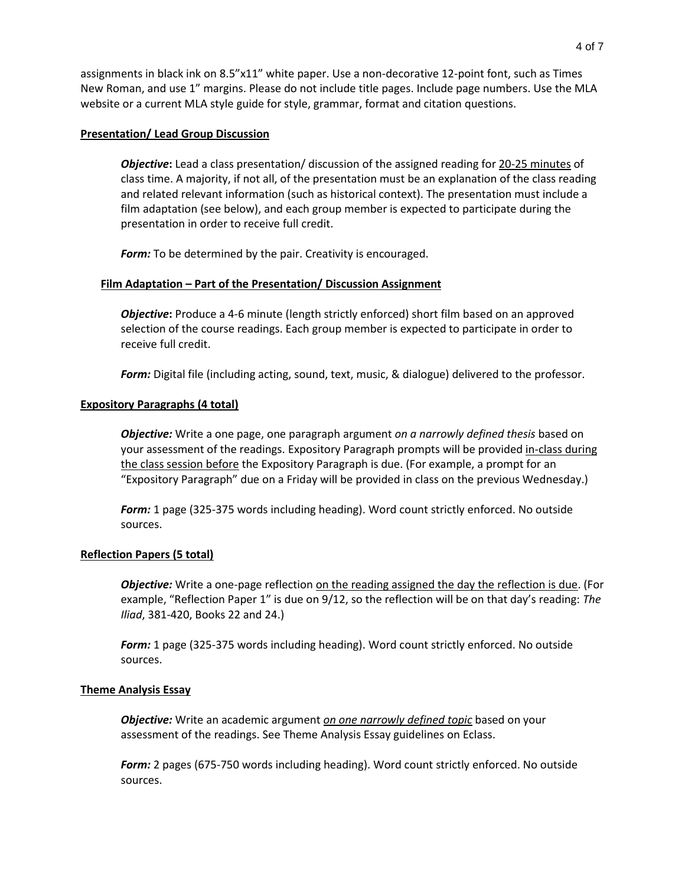assignments in black ink on 8.5"x11" white paper. Use a non-decorative 12-point font, such as Times New Roman, and use 1" margins. Please do not include title pages. Include page numbers. Use the MLA website or a current MLA style guide for style, grammar, format and citation questions.

#### **Presentation/ Lead Group Discussion**

*Objective***:** Lead a class presentation/ discussion of the assigned reading for 20-25 minutes of class time. A majority, if not all, of the presentation must be an explanation of the class reading and related relevant information (such as historical context). The presentation must include a film adaptation (see below), and each group member is expected to participate during the presentation in order to receive full credit.

*Form:* To be determined by the pair. Creativity is encouraged.

## **Film Adaptation – Part of the Presentation/ Discussion Assignment**

**Objective:** Produce a 4-6 minute (length strictly enforced) short film based on an approved selection of the course readings. Each group member is expected to participate in order to receive full credit.

*Form:* Digital file (including acting, sound, text, music, & dialogue) delivered to the professor.

## **Expository Paragraphs (4 total)**

*Objective:* Write a one page, one paragraph argument *on a narrowly defined thesis* based on your assessment of the readings. Expository Paragraph prompts will be provided in-class during the class session before the Expository Paragraph is due. (For example, a prompt for an "Expository Paragraph" due on a Friday will be provided in class on the previous Wednesday.)

*Form:* 1 page (325-375 words including heading). Word count strictly enforced. No outside sources.

#### **Reflection Papers (5 total)**

*Objective:* Write a one-page reflection on the reading assigned the day the reflection is due. (For example, "Reflection Paper 1" is due on 9/12, so the reflection will be on that day's reading: *The Iliad*, 381-420, Books 22 and 24.)

*Form:* 1 page (325-375 words including heading). Word count strictly enforced. No outside sources.

### **Theme Analysis Essay**

*Objective:* Write an academic argument *on one narrowly defined topic* based on your assessment of the readings. See Theme Analysis Essay guidelines on Eclass.

*Form:* 2 pages (675-750 words including heading). Word count strictly enforced. No outside sources.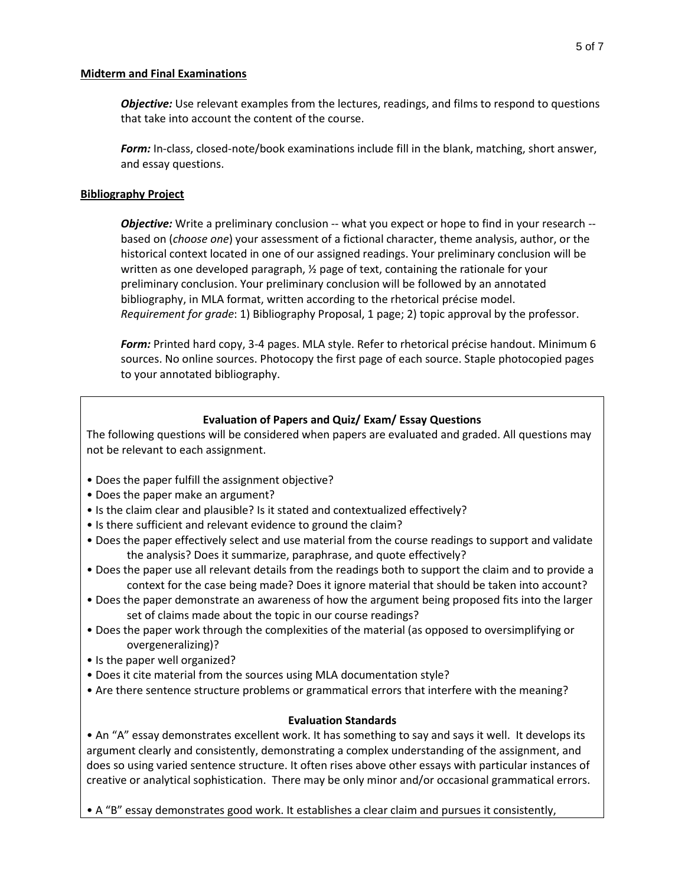### **Midterm and Final Examinations**

*Objective:* Use relevant examples from the lectures, readings, and films to respond to questions that take into account the content of the course.

*Form:* In-class, closed-note/book examinations include fill in the blank, matching, short answer, and essay questions.

# **Bibliography Project**

*Objective:* Write a preliminary conclusion -- what you expect or hope to find in your research -based on (*choose one*) your assessment of a fictional character, theme analysis, author, or the historical context located in one of our assigned readings. Your preliminary conclusion will be written as one developed paragraph, ½ page of text, containing the rationale for your preliminary conclusion. Your preliminary conclusion will be followed by an annotated bibliography, in MLA format, written according to the rhetorical précise model. *Requirement for grade*: 1) Bibliography Proposal, 1 page; 2) topic approval by the professor.

*Form:* Printed hard copy, 3-4 pages. MLA style. Refer to rhetorical précise handout. Minimum 6 sources. No online sources. Photocopy the first page of each source. Staple photocopied pages to your annotated bibliography.

# **Evaluation of Papers and Quiz/ Exam/ Essay Questions**

The following questions will be considered when papers are evaluated and graded. All questions may not be relevant to each assignment.

- Does the paper fulfill the assignment objective?
- Does the paper make an argument?
- Is the claim clear and plausible? Is it stated and contextualized effectively?
- Is there sufficient and relevant evidence to ground the claim?
- Does the paper effectively select and use material from the course readings to support and validate the analysis? Does it summarize, paraphrase, and quote effectively?
- Does the paper use all relevant details from the readings both to support the claim and to provide a context for the case being made? Does it ignore material that should be taken into account?
- Does the paper demonstrate an awareness of how the argument being proposed fits into the larger set of claims made about the topic in our course readings?
- Does the paper work through the complexities of the material (as opposed to oversimplifying or overgeneralizing)?
- Is the paper well organized?
- Does it cite material from the sources using MLA documentation style?
- Are there sentence structure problems or grammatical errors that interfere with the meaning?

## **Evaluation Standards**

• An "A" essay demonstrates excellent work. It has something to say and says it well. It develops its argument clearly and consistently, demonstrating a complex understanding of the assignment, and does so using varied sentence structure. It often rises above other essays with particular instances of creative or analytical sophistication. There may be only minor and/or occasional grammatical errors.

• A "B" essay demonstrates good work. It establishes a clear claim and pursues it consistently,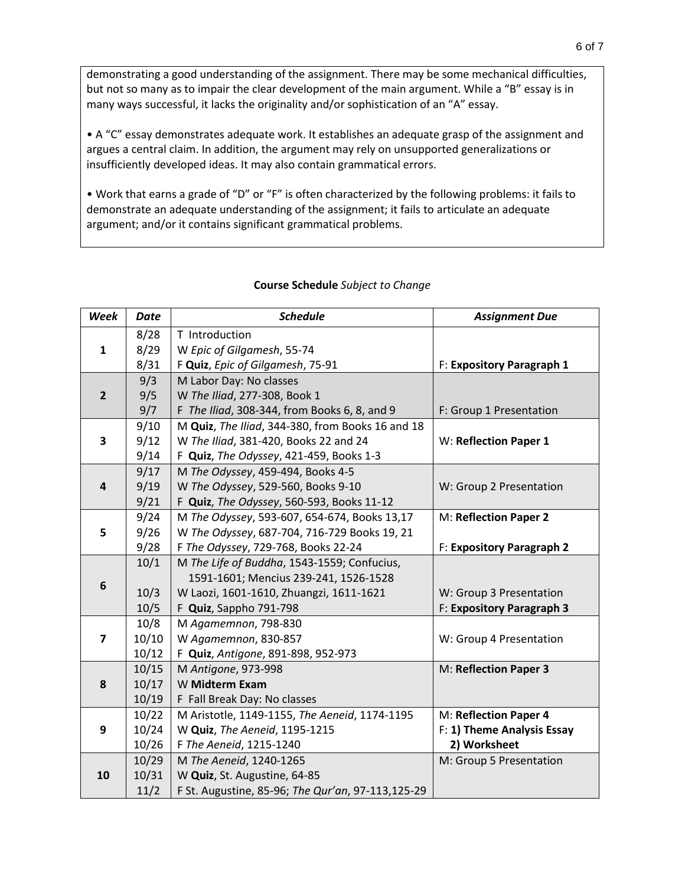demonstrating a good understanding of the assignment. There may be some mechanical difficulties, but not so many as to impair the clear development of the main argument. While a "B" essay is in many ways successful, it lacks the originality and/or sophistication of an "A" essay.

• A "C" essay demonstrates adequate work. It establishes an adequate grasp of the assignment and argues a central claim. In addition, the argument may rely on unsupported generalizations or insufficiently developed ideas. It may also contain grammatical errors.

• Work that earns a grade of "D" or "F" is often characterized by the following problems: it fails to demonstrate an adequate understanding of the assignment; it fails to articulate an adequate argument; and/or it contains significant grammatical problems.

| Week                    | <b>Date</b> | <b>Schedule</b>                                   | <b>Assignment Due</b>      |
|-------------------------|-------------|---------------------------------------------------|----------------------------|
| $\mathbf{1}$            | 8/28        | T Introduction                                    |                            |
|                         | 8/29        | W Epic of Gilgamesh, 55-74                        |                            |
|                         | 8/31        | F Quiz, Epic of Gilgamesh, 75-91                  | F: Expository Paragraph 1  |
| $\overline{2}$          | 9/3         | M Labor Day: No classes                           |                            |
|                         | 9/5         | W The Iliad, 277-308, Book 1                      |                            |
|                         | 9/7         | F The Iliad, 308-344, from Books 6, 8, and 9      | F: Group 1 Presentation    |
| 3                       | 9/10        | M Quiz, The Iliad, 344-380, from Books 16 and 18  |                            |
|                         | 9/12        | W The Iliad, 381-420, Books 22 and 24             | W: Reflection Paper 1      |
|                         | 9/14        | F Quiz, The Odyssey, 421-459, Books 1-3           |                            |
| $\overline{\mathbf{r}}$ | 9/17        | M The Odyssey, 459-494, Books 4-5                 |                            |
|                         | 9/19        | W The Odyssey, 529-560, Books 9-10                | W: Group 2 Presentation    |
|                         | 9/21        | F Quiz, The Odyssey, 560-593, Books 11-12         |                            |
|                         | 9/24        | M The Odyssey, 593-607, 654-674, Books 13,17      | M: Reflection Paper 2      |
| 5                       | 9/26        | W The Odyssey, 687-704, 716-729 Books 19, 21      |                            |
|                         | 9/28        | F The Odyssey, 729-768, Books 22-24               | F: Expository Paragraph 2  |
|                         | 10/1        | M The Life of Buddha, 1543-1559; Confucius,       |                            |
| 6                       |             | 1591-1601; Mencius 239-241, 1526-1528             |                            |
|                         | 10/3        | W Laozi, 1601-1610, Zhuangzi, 1611-1621           | W: Group 3 Presentation    |
|                         | 10/5        | F Quiz, Sappho 791-798                            | F: Expository Paragraph 3  |
|                         | 10/8        | M Agamemnon, 798-830                              |                            |
| $\overline{\mathbf{z}}$ | 10/10       | W Agamemnon, 830-857                              | W: Group 4 Presentation    |
|                         | 10/12       | F Quiz, Antigone, 891-898, 952-973                |                            |
|                         | 10/15       | M Antigone, 973-998                               | M: Reflection Paper 3      |
| 8                       | 10/17       | W Midterm Exam                                    |                            |
|                         | 10/19       | F Fall Break Day: No classes                      |                            |
|                         | 10/22       | M Aristotle, 1149-1155, The Aeneid, 1174-1195     | M: Reflection Paper 4      |
| 9                       | 10/24       | W Quiz, The Aeneid, 1195-1215                     | F: 1) Theme Analysis Essay |
|                         | 10/26       | F The Aeneid, 1215-1240                           | 2) Worksheet               |
|                         | 10/29       | M The Aeneid, 1240-1265                           | M: Group 5 Presentation    |
| 10                      | 10/31       | W Quiz, St. Augustine, 64-85                      |                            |
|                         | 11/2        | F St. Augustine, 85-96; The Qur'an, 97-113,125-29 |                            |

## **Course Schedule** *Subject to Change*